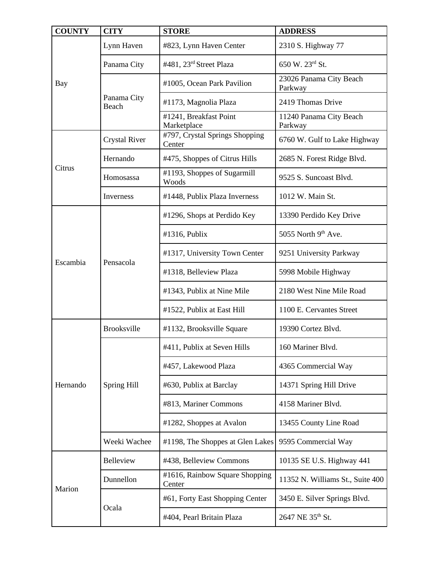| <b>COUNTY</b> | <b>CITY</b>          | <b>STORE</b>                             | <b>ADDRESS</b>                     |
|---------------|----------------------|------------------------------------------|------------------------------------|
| Bay           | Lynn Haven           | #823, Lynn Haven Center                  | 2310 S. Highway 77                 |
|               | Panama City          | #481, 23 <sup>rd</sup> Street Plaza      | 650 W. 23rd St.                    |
|               | Panama City<br>Beach | #1005, Ocean Park Pavilion               | 23026 Panama City Beach<br>Parkway |
|               |                      | #1173, Magnolia Plaza                    | 2419 Thomas Drive                  |
|               |                      | #1241, Breakfast Point<br>Marketplace    | 11240 Panama City Beach<br>Parkway |
| Citrus        | <b>Crystal River</b> | #797, Crystal Springs Shopping<br>Center | 6760 W. Gulf to Lake Highway       |
|               | Hernando             | #475, Shoppes of Citrus Hills            | 2685 N. Forest Ridge Blvd.         |
|               | Homosassa            | #1193, Shoppes of Sugarmill<br>Woods     | 9525 S. Suncoast Blvd.             |
|               | Inverness            | #1448, Publix Plaza Inverness            | 1012 W. Main St.                   |
| Escambia      | Pensacola            | #1296, Shops at Perdido Key              | 13390 Perdido Key Drive            |
|               |                      | #1316, Publix                            | 5055 North 9th Ave.                |
|               |                      | #1317, University Town Center            | 9251 University Parkway            |
|               |                      | #1318, Belleview Plaza                   | 5998 Mobile Highway                |
|               |                      | #1343, Publix at Nine Mile               | 2180 West Nine Mile Road           |
|               |                      | #1522, Publix at East Hill               | 1100 E. Cervantes Street           |
| Hernando      | <b>Brooksville</b>   | #1132, Brooksville Square                | 19390 Cortez Blvd.                 |
|               | Spring Hill          | #411, Publix at Seven Hills              | 160 Mariner Blvd.                  |
|               |                      | #457, Lakewood Plaza                     | 4365 Commercial Way                |
|               |                      | #630, Publix at Barclay                  | 14371 Spring Hill Drive            |
|               |                      | #813, Mariner Commons                    | 4158 Mariner Blvd.                 |
|               |                      | #1282, Shoppes at Avalon                 | 13455 County Line Road             |
|               | Weeki Wachee         | #1198, The Shoppes at Glen Lakes         | 9595 Commercial Way                |
| Marion        | Belleview            | #438, Belleview Commons                  | 10135 SE U.S. Highway 441          |
|               | Dunnellon            | #1616, Rainbow Square Shopping<br>Center | 11352 N. Williams St., Suite 400   |
|               | Ocala                | #61, Forty East Shopping Center          | 3450 E. Silver Springs Blvd.       |
|               |                      | #404, Pearl Britain Plaza                | 2647 NE 35th St.                   |